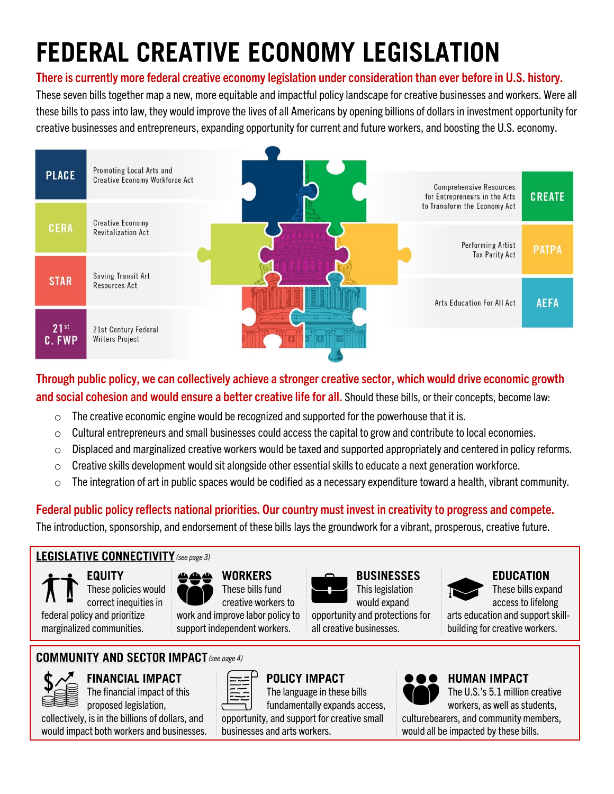# **FEDERAL CREATIVE ECONOMY LEGISLATION**

#### **There is currently more federal creative economy legislation under consideration than ever before in U.S. history.**

These seven bills together map a new, more equitable and impactful policy landscape for creative businesses and workers. Were all these bills to pass into law, they would improve the lives of all Americans by opening billions of dollars in investment opportunity for creative businesses and entrepreneurs, expanding opportunityfor current and future workers, and boosting the U.S. economy.



#### **Through public policy, we can collectively achieve a stronger creative sector, which would drive economic growth and social cohesion and would ensure a better creative life for all.** Should these bills, or their concepts, become law:

- $\circ$  The creative economic engine would be recognized and supported for the powerhouse that it is.
- $\circ$  Cultural entrepreneurs and small businesses could access the capital to grow and contribute to local economies.
- $\circ$  Displaced and marginalized creative workers would be taxed and supported appropriately and centered in policy reforms.
- $\circ$  Creative skills development would sit alongside other essential skills to educate a next generation workforce.
- $\circ$  The integration of art in public spaces would be codified as a necessary expenditure toward a health, vibrant community.

#### **Federal public policyreflects national priorities. Our country must invest in creativityto progress and compete.**

The introduction, sponsorship, and endorsement of these bills lays the groundwork for a vibrant, prosperous, creative future.

#### *(see page 3)*

**EQUITY** These policies would correct inequities in federal policy and prioritize marginalized communities.



**WORKERS** These bills fund

creative workers to work and improve labor policy to support independent workers.

**BUSINESSES** This legislation would expand

opportunity and protections for all creative businesses.



**EDUCATION** These bills expand access to lifelong

arts education and support skillbuilding for creative workers.

#### COMMUNITY AND SECTOR IMPACT (see page 4)



**FINANCIAL IMPACT** 

The financial impact of this proposed legislation, collectively, is in the billions of dollars, and

would impact both workers and businesses.



**POLICY IMPACT** 

The language in these bills fundamentally expands access, opportunity, and support for creative small businesses and arts workers.



#### **HUMAN IMPACT**

The U.S.'s 5.1 million creative workers, as well as students,

culturebearers, and community members, would all be impacted by these bills.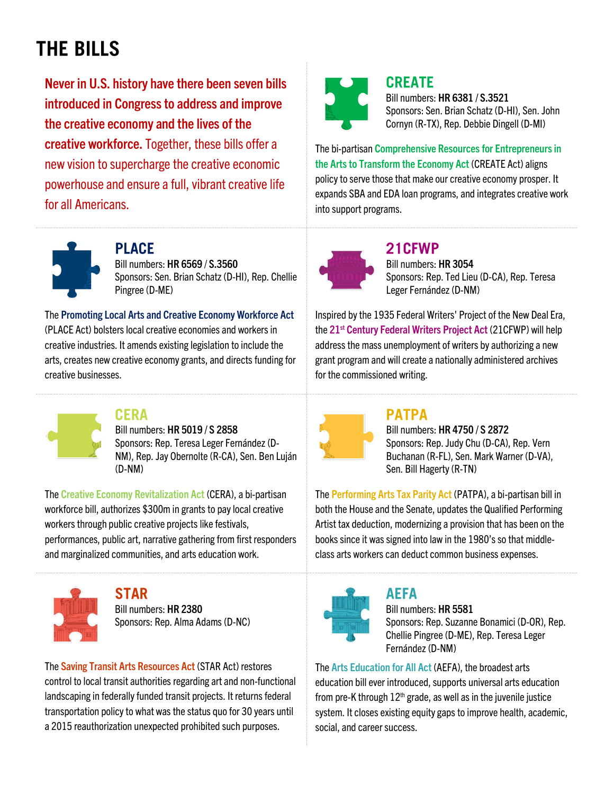### **THE BILLS**

**Never in U.S. history have there been seven bills introduced in Congress to address and improve the creative economy and the lives of the creative workforce.** Together, these bills offer a new vision to supercharge the creative economic powerhouse and ensure a full, vibrant creative life for all Americans.



#### **CREATE**

Bill numbers: **HR 6381 / S.3521** Sponsors: Sen. Brian Schatz (D-HI), Sen. John Cornyn (R-TX), Rep. Debbie Dingell (D-MI)

The bi-partisan **Comprehensive Resources for Entrepreneurs in the Arts to Transform the Economy Act** (CREATE Act) aligns policy to serve those that make our creative economy prosper. It expands SBA and EDA loan programs, and integrates creative work into support programs.



#### **PI ACE**

Bill numbers: **HR 6569** / **S.3560** Sponsors: Sen. Brian Schatz (D-HI), Rep. Chellie Pingree (D-ME)

The **Promoting Local Arts and Creative Economy Workforce Act** (PLACE Act) bolsters local creative economies and workers in creative industries. It amends existing legislation to include the arts, creates new creative economy grants, and directs funding for creative businesses.



#### **CERA**

Bill numbers: **HR 5019 / S 2858** Sponsors: Rep. Teresa Leger Fernández (D-NM), Rep. Jay Obernolte (R-CA), Sen. Ben Luján (D-NM)

The **Creative Economy Revitalization Act** (CERA), a bi-partisan workforce bill, authorizes \$300m in grants to pay local creative workers through public creative projects like festivals, performances, public art, narrative gathering from first responders and marginalized communities, and arts education work.



**STAR** Bill numbers: **HR 2380** Sponsors: Rep. Alma Adams (D-NC)

The **Saving Transit Arts Resources Act** (STAR Act) restores control to local transit authorities regarding art and non-functional landscaping in federally funded transit projects. It returns federal transportation policy to what was the status quo for 30 years until a 2015 reauthorization unexpected prohibited such purposes.



#### 21CFWP

Bill numbers: **HR 3054** Sponsors: Rep. Ted Lieu (D-CA), Rep. Teresa Leger Fernández (D-NM)

Inspired by the 1935 Federal Writers' Project of the New Deal Era, the **21st Century Federal Writers Project Act** (21CFWP) will help address the mass unemployment of writers by authorizing a new grant program and will create a nationally administered archives for the commissioned writing.



#### **PATPA**

Bill numbers: **HR 4750 / S 2872** Sponsors: Rep. Judy Chu (D-CA), Rep. Vern Buchanan (R-FL), Sen. Mark Warner (D-VA), Sen. Bill Hagerty (R-TN)

The **Performing Arts Tax Parity Act** (PATPA), a bi-partisan bill in both the House and the Senate, updates the Qualified Performing Artist tax deduction, modernizing a provision that has been on the books since it was signed into law in the 1980's so that middleclass arts workers can deduct common business expenses.



#### **AEFA**

Bill numbers: **HR 5581** Sponsors: Rep. Suzanne Bonamici (D-OR), Rep. Chellie Pingree (D-ME), Rep. Teresa Leger Fernández (D-NM)

The **Arts Education for All Act** (AEFA), the broadest arts education bill ever introduced, supports universal arts education from pre-K through  $12<sup>th</sup>$  grade, as well as in the juvenile justice system. It closes existing equity gaps to improve health, academic, social, and career success.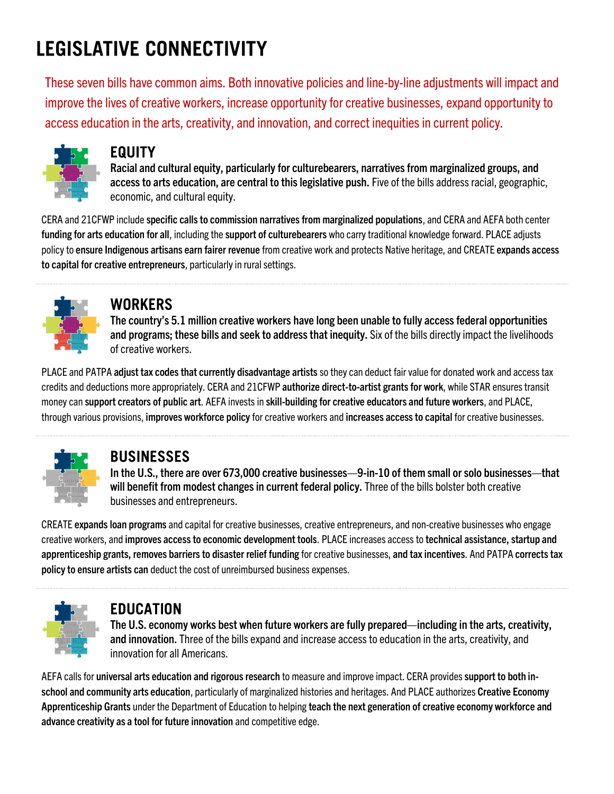### **LEGISLATIVE CONNECTIVITY**

These seven bills have common aims. Both innovative policies and line-by-line adjustments will impact and improve the lives of creative workers, increase opportunity for creative businesses, expand opportunity to access education in the arts, creativity, and innovation, and correct inequities in current policy.



#### **EQUITY**

Racial and cultural equity, particularly for culturebearers, narratives from marginalized groups, and **access to arts education, are central to this legislative push.** Five of the bills addressracial, geographic, economic, and cultural equity.

CERA and 21CFWP include **specific calls to commission narratives from marginalized populations**, and CERA and AEFA both center **funding for arts education for all**, including the **support of culturebearers** who carry traditional knowledge forward. PLACE adjusts policyto **ensure Indigenous artisans earn fairer revenue** from creative work and protects Native heritage, and CREATE **expands access to capital for creative entrepreneurs**, particularly in rural settings.



#### **WORKERS**

**The country's 5.1 million creative workers have long been unable to fully access federal opportunities and programs; these bills and seek to address that inequity.** Six of the bills directly impact the livelihoods of creative workers.

PLACE and PATPA **adjust tax codes that currently disadvantage artists** so they can deduct fair value for donated work and access tax credits and deductions more appropriately. CERA and 21CFWP **authorize direct-to-artist grantsfor work**, while STAR ensurestransit money can **support creators of public art**. AEFA invests in **skill-building for creative educators and future workers**, and PLACE, through various provisions, **improves workforce policy**for creative workers and **increases access to capital** for creative businesses.



#### **BUSINESSES**

**In the U.S., there are over 673,000 creative businesses—9-in-10 of them small or solo businesses—that will benefit from modest changes in current federal policy.** Three of the bills bolster both creative businesses and entrepreneurs.

CREATE **expandsloan programs** and capital for creative businesses, creative entrepreneurs, and non-creative businesses who engage creative workers, and **improves access to economic development tools**. PLACE increases access to **technical assistance, startup and apprenticeship grants, removes barriers to disaster relief funding** for creative businesses, **and tax incentives**. And PATPA **corrects tax policy to ensure artists can** deduct the cost of unreimbursed business expenses.



#### **EDUCATION**

**The U.S. economy works best when future workers are fully prepared—including in the arts, creativity, and innovation.** Three of the bills expand and increase access to education in the arts, creativity, and innovation for all Americans.

AEFA calls for **universal arts education and rigorous research** to measure and improve impact. CERA provides **support to both inschool and community arts education**, particularly of marginalized histories and heritages. And PLACE authorizes **Creative Economy Apprenticeship Grants** under the Department of Education to helping **teach the next generation of creative economy workforce and advance creativity as a tool for future innovation** and competitive edge.